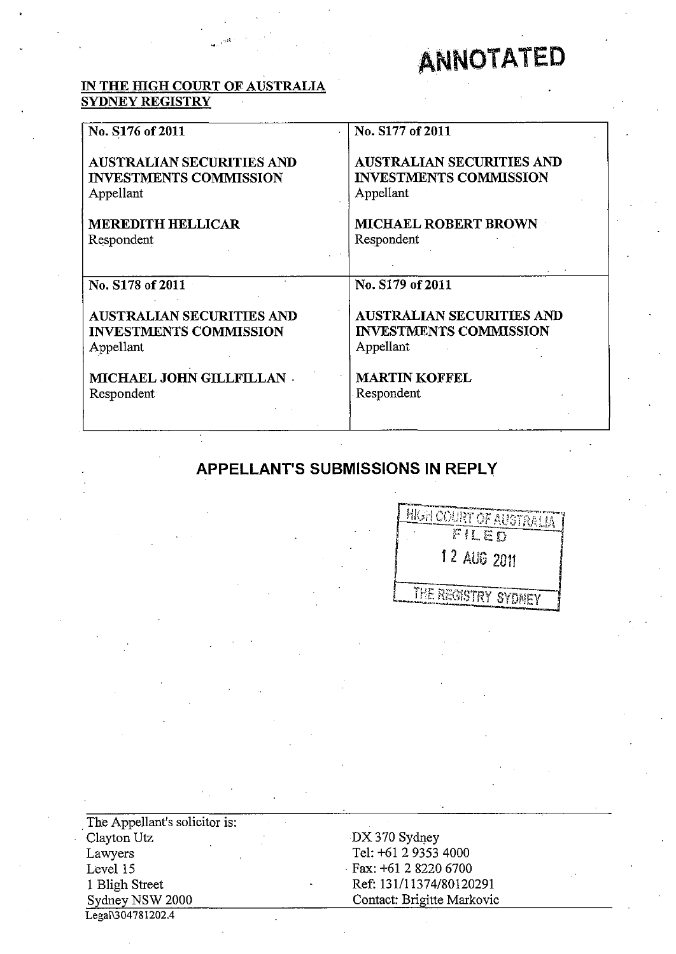# **ANNOTATED**

# **IN THE IDGH COURT OF AUSTRALIA SYDNEY REGISTRY**

 $\mathbf{u}$ .  $\mathbf{y}^{\mathrm{opt}}$ 

| No. S176 of 2011                 | No. S177 of 2011                 |
|----------------------------------|----------------------------------|
| <b>AUSTRALIAN SECURITIES AND</b> | <b>AUSTRALIAN SECURITIES AND</b> |
| <b>INVESTMENTS COMMISSION</b>    | <b>INVESTMENTS COMMISSION</b>    |
| Appellant                        | Appellant                        |
| <b>MEREDITH HELLICAR</b>         | <b>MICHAEL ROBERT BROWN</b>      |
| Respondent                       | Respondent                       |
| No. S178 of 2011                 | No. S179 of 2011                 |
| <b>AUSTRALIAN SECURITIES AND</b> | <b>AUSTRALIAN SECURITIES AND</b> |
| <b>INVESTMENTS COMMISSION</b>    | <b>INVESTMENTS COMMISSION</b>    |
| Appellant                        | Appellant                        |
| MICHAEL JOHN GILLFILLAN .        | <b>MARTIN KOFFEL</b>             |
| Respondent                       | Respondent                       |

# **APPELLANT'S SUBMISSIONS IN REPLY**

| <b>HIGH COURT OF AUSTRALIA</b> |  |
|--------------------------------|--|
| FILED                          |  |
| 12 AUG 2011                    |  |
| THE REGISTRY SYDNEY            |  |

The Appellant's solicitor is: Clayton *Vtz*  Lawyers Level 15 I Bligh Street Sydney NSW 2000 Legal\304781202.4

DX 370 Sydney Tel: +61 2 9353 4000 . Fax: +61 2 8220 6700 Ref: 131111374/80120291 Contact: Brigitte Markovic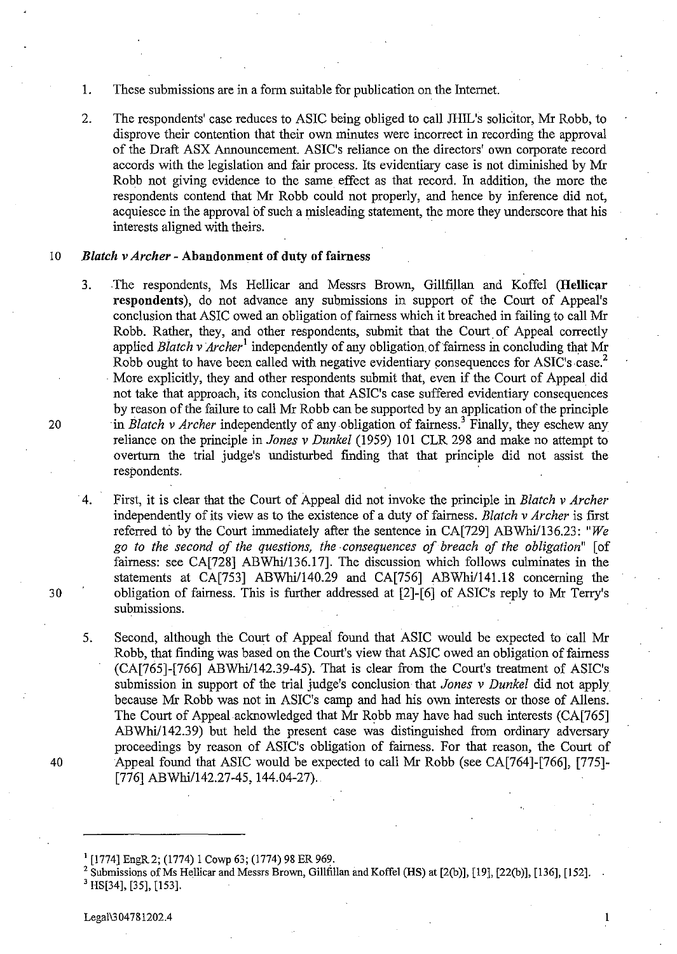- 1. These submissions are in a form suitable for publication on the Internet.
- 2. The respondents' case reduces to ASIC being obliged to call JHIL's solicitor, Mr Robb, to disprove their contention that their own minutes were incorrect in recording the approval of the Draft ASX Announcement. ASIC's reliance on the directors' own corporate record accords with the legislation and fair process. Its evidentiary case is not diminished by Mr Robb not giving evidence to the same effect as that record. In addition, the more the respondents contend that Mr Robb could not properly, and hence by inference did not, acquiesce in the approval of such a misleading statement, the more they underscore that his interests aligned with theirs. .

#### 10 *Blatch v Archer* - Abandonment of duty of fairness

- 3. The respondents, Ms Hellicar and Messrs Brown, Gillfillan and Koffel (Hellicar respondents), do not advance any submissions in support of the Court of Appeal's conclusion that ASIC owed an obligation of fairness which it breached in failing to call Mr Robb. Rather, they, and other respondents, submit that the Court of Appeal correctly applied *Blatch v Archer*<sup>1</sup> independently of any obligation of fairness in concluding that Mr Robb ought to have been called with negative evidentiary consequences for ASIC's case.<sup>2</sup> . More explicitly, they and other respondents submit that, even if the Court of Appeal did not take that approach, its conclusion that ASIC's case suffered evidentiary consequences by reason of the failure to call Mr Robb can be supported by an application of the principle 20 in *Blatch v Archer* independently of any obligation of fairness.<sup>3</sup> Finally, they eschew any reliance on the principle in *Jones v Dunkel* (1959) 101 CLR 298 and make no attempt to overturn the trial judge's undisturbed fmding that that principle did not assist the respondents.
- ·4. First, it is clear that the Court of Appeal did not invoke the principle in *Blatch* v *Archer*  independently of its view as to the existence of a duty of fairness. *Blatch* v *Archer* is first referred t6 by the Court immediately after the sentence in CA[729] *ABWhil136.23: "We go to the second of the questions, the consequences of breach of the obligation"* [of fairness: see CA[728] ABWhi/136.17]. The discussion which follows culminates in the statements at CA[753] *ABWhi/140.29* and CA[756] *ABWhi/141.18* concerning the 30 obligation of fairness. This is further addressed at [2]-[6] of ASIC's reply to Mr Terry's submissions.
- 5. Second, although the Court of Appeai found that ASIC would be expected to call Mr Robb, that finding was based on the Court's view that ASIC owed an obligation of fairness (CA[765]-[766] ABWhi/142.39-45). That is clear from the Court's treatment of ASIC's submission in support of the trial judge's conclusion that *Jones* v *Dunkel* did not apply because Mr Robb was not in ASIC's camp and had his own interests or those of AlIens. The Court of Appeal acknowledged that Mr Robb may have had such interests (CA[765] ABWhi/142.39) but held the present case was distinguished from ordinary adversary proceedings by reason of ASIC's obligation of fairness. For that reason, the Court of 40 Appeal found that ASIC would be expected to call Mr Robb (see CA[764]-[766], [775]- [776] ABWhi/142.27-45, 144.04-27).

<sup>&</sup>lt;sup>1</sup> [1774] EngR 2; (1774) 1 Cowp 63; (1774) 98 ER 969.

<sup>&</sup>lt;sup>2</sup> Submissions of Ms Hellicar and Messrs Brown, Gillfillan and Koffel (HS) at [2(b)], [19], [22(b)], [136], [152].  $3$  HS[34], [35], [153].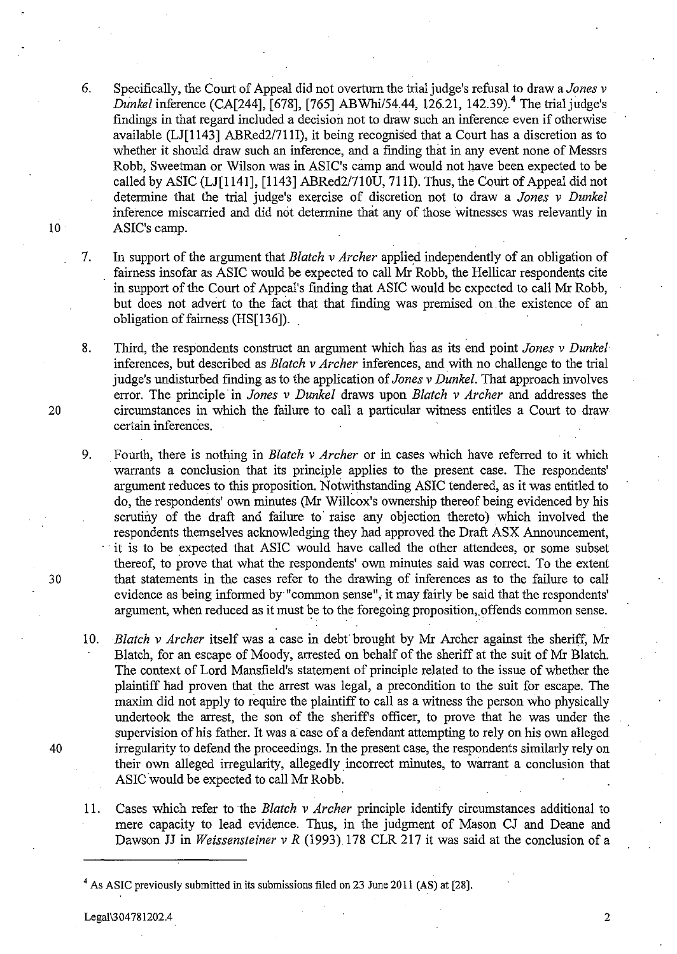- 6. Specifically, the Court of Appeal did not overturn the trial judge's refusal to draw a *Jones* v *Dunkel* inference (CA[244], [678], [765] ABWhi/54.44, 126.21, 142.39).<sup>4</sup> The trial judge's findings in that regard included a decision not to draw such an inference even if otherwise available (LJ[1143] ABRed2/711I), it being recognised that a Court has a discretion as to whether it should draw such an inference, and a finding that in any event none of Messrs Robb, Sweetrnan or Wilson was in ASIC's camp and would not have been expected to be called by ASIC (LJ[ll4l], [1143] ABRed21710U, 71H). Thus, the Court of Appeal did not determine that the trial judge's exercise of discretion not to draw a *Jones* v *Dunkel*  inference miscarried and did not determine that any of those witnesses was relevantly in ASIC's camp.
- 7. In support of the argument that *Blatch* v *Archer* applied independently of an obligation of fairness insofar as ASIC would be expected to call Mr Robb, the Hellicar respondents cite in support of the Court of Appeal's fmding that ASIC would be expected to call Mr Robb, but does not advert to the fact that that finding was premised on. the existence of an obligation of fairness (HS[136]).
- 8. Third, the respondents construct an argument which has as its end point *Jones* v *Dunkel*  inferences, but described as *Blatch* v *Archer* inferences, and with no challenge to the trial judge's undisturbed finding as to the application of *Jones* v *Dunkel.* That approach involves error. The principle in *Jones v Dunkel* draws upon *Blatch v Archer* and addresses the 20 circumstances in which the failure to call a particular witness entitles a Court to draw certain inferences.
- 9. Fourth, there is nothing in *Blatch* v *Archer* or in cases which have referred to it which warrants a conclusion that its principle applies to the present case. The respondents' argument reduces to this proposition. Notwithstanding ASIC tendered, as it was entitled to do, the respondents' own minutes (Mr Willcox's ownership thereof being evidenced by his scrutiny of the draft and failure to' raise any objection thereto) which involved the respondents themselves acknowledging they had approved the Draft ASX Announcement, . it is to be expected that ASIC would have called the other attendees, or some subset thereof, to prove that what the respondents' own minutes said was correct. To the extent 30 that statements in the cases refer to the drawing of inferences as to the failure to call evidence as being informed by "common sense", it may fairly be said that the respondents' argument, when reduced as it must be to the foregoing proposition, offends common sense.
- *10. Blatch* v *Archer* itself was a case in debt brought by Mr Archer against the sheriff, Mr Blatch, for an escape of Moody, arrested on behalf of the sheriff at the suit of Mr Blatch. The context of Lord Mansfield's statement of principle related to the issue of whether the plaintiff had proven that the arrest was legal, a precondition to the suit for escape. The maxim did not apply to require the plaintiff to call as a witness the person who physically undertook the arrest, the son of the sheriff's officer, to prove that he was under the supervision of his father. It was a case of a defendant attempting to rely on his own alleged 40 irregularity to defend the proceedings. In the present case, the respondents similarly rely on their own alleged irregularity, allegedly incorrect minutes, to warrant a conclusion that ASIC would be expected to call Mr Robb.
	- 11. Cases which refer to the *Blatch* v *Archer* principle identify circumstances additional to mere capacity to lead evidence. Thus, in the judgment of Mason CJ and Deane and Dawson JJ in *Weissensteiner* v *R* (1993) 178 CLR 217 it was said at the conclusion of a

10

<sup>&</sup>lt;sup>4</sup> As ASIC previously submitted in its submissions filed on 23 June 2011 (AS) at [28].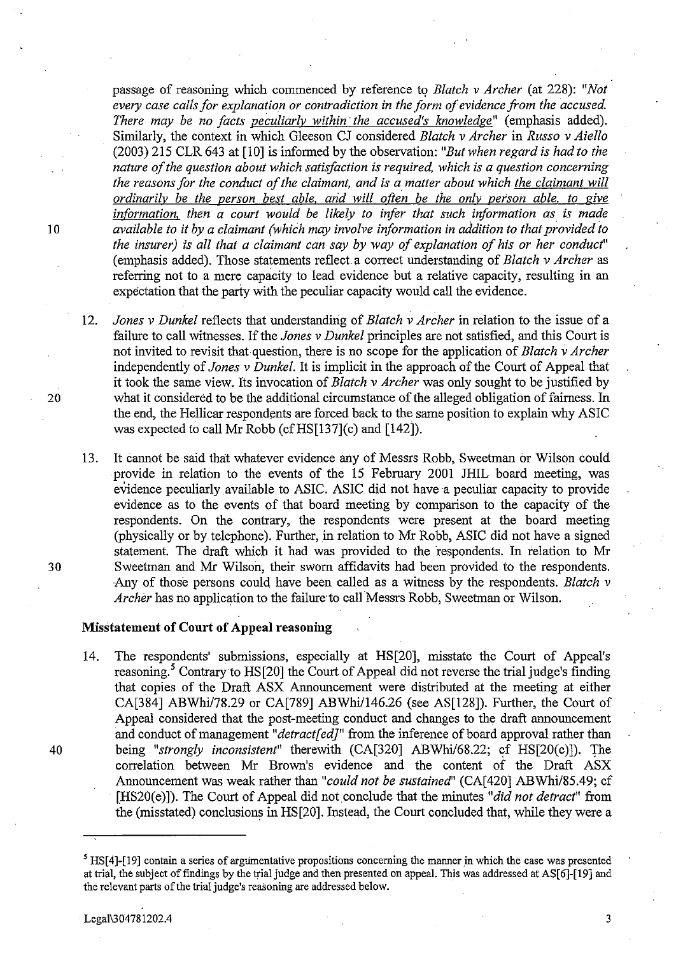passage of reasoning which commenced by reference t<) *Blatch* v *Archer* (at 228): *"Not every case calls for explanation or contradiction* in *the form of evidence from the accused.*  There may be no facts peculiarly within the accused's knowledge" (emphasis added). Similarly, the context in which Gleeson CJ considered *Blatch* v *Archer* in *Russo* v *Aiello*  (2003) 215 CLR 643 at [10] is informed by the observation: *"But when regard* is *had to the nature of the question about which satisfaction* is *required, which* is *a question concerning the reasons for the conduct of the claimant, and* is *a matter about which the claimant will ordinarily be the person best able. arid will often be the only person able. to* give *information, then a court would be likely to infer that such information as is made* 10 *available to it by a claimant (which may involve information* in *addition to that provided to the insurer)* is *all that a claimant can say by way of explanation of his or her conduct"*  (emphasis added). Those statements reflect. a correct understanding of *Blatch* v *Archer* as referring not to a mere capacity to lead evidence but a relative capacity, resulting in an expectation that the party with the peculiar capacity would call the evidence.

*12. Jones* v *Dunkel* reflects that understanding of *Blatch* v *Archer* in relation to the issue of a failure to call witnesses. If the *Jones* v *Dunkel* principles are not satisfied, and this Court is not invited to revisit that question, there is no scope for the application of *Blatch* v *Archer*  independently of *Jones* v *Dunkel.* It is implicit in the approach of the Court of Appeal that it took the same view. Its invocation of *Blatch* v *Archer* was only sought to be justified by 20 what it considered to be the additional circumstance of the alleged obligation of fairness. In the end, the Hellicar respondents are forced back to the same position to explain why ASIC was expected to call Mr Robb (cf  $HS[137]$ (c) and  $[142]$ ).

13. It cannot be said that whatever evidence any of Messrs Robb, Sweetman or Wilson could provide in relation to the events of the 15 February 2001 JHIL board meeting, was evidence peculiarly available to ASIC. ASIC did not have a peculiar capacity to provide evidence as to the events of that board meeting by comparison to the capacity of the respondents. On the contrary, the respondents were present at the board meeting (physically or by telephone). Further, in relation to Mr Robb, ASIC did not have a signed statement. The draft which it had was provided to the respondents. In relation to Mr 30 Sweetman and Mr Wilson, their sworn affidavits had been provided to the respondents. Any of those persons could have been called as a witness by the respondents. *Blatch* v *Archer* has no application to the failure to call Messrs Robb, Sweetman or Wilson.

# **Misstatement of Court of Appeal reasoning**

14. The respondents' submissions, especially at HS[20], misstate the Court of Appeal's reasoning.<sup>5</sup> Contrary to HS[20] the Court of Appeal did not reverse the trial judge's finding that copies of the Draft ASX Announcement were distributed at the meeting at either CA[384] ABWhi/78.29 or CA[789] ABWhil146.26 (see AS[128]). Further, the Court of Appeal considered that the post-meeting conduct and changes to the draft announcement and conduct of management "*detract[ed]*" from the inference of board approval rather than 40 being *"strongly inconsistent"* therewith (CA[320] ABWhi/68.22; cf HS[20(c)]). The correlation between Mr Brown's evidence and the content of the Draft ASX Announcement was weak rather than *"could not be sustained'* (CA[420] ABWhi/85.49; cf [HS20(e)]). The Court of Appeal did not conclude that the minutes *"did not detract"* from the (misstated) conclusions in HS[20]. Instead, the Court concluded that, while they were a

 $<sup>5</sup>$  HS[4]-[19] contain a series of argumentative propositions concerning the manner in which the case was presented</sup> at trial, the subject of findings by the trial judge and then presented on appea\. This was addressed at AS[6]-[19] and the relevant parts of the trial judge's reasoning are addressed below.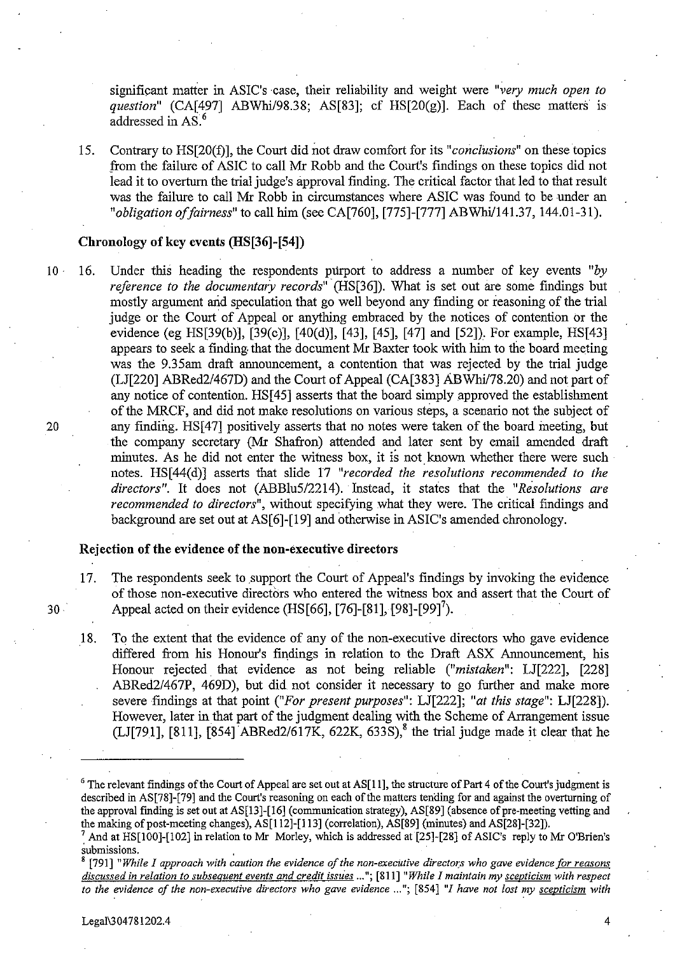significant matter in ASIC's case, their reliability and weight were "very much open to *question"* (CA[497] ABWhi/98.38; AS[83]; cf HS[20(g)]. Each of these matters is addressed in AS<sup>6</sup>

15. Contrary to HS[20(f)], the Court did not draw comfort for its *"conclusions"* on these topics from the failure of ASIC to call Mr Robb and the Court's fmdings on these topics did not lead it to overturn the trial judge's approval finding. The critical factor that led to that result was the failure to call Mr Robb in circumstances where ASIC was found to be under an *"obligation offairness"* to call him (see CA[760], [775]-[777] ABWhil141.37, 144.D1-31).

## Chronology of key events (HS[36]-[S4])

10 16. Under this heading the respondents purport to address a number of key events "by *reference to the documentary records"* (HS[36]). What is set out are some findings but mostly argument arid speculation that go well beyond any finding or reasoning of the trial judge or the Court of Appeal or anything embraced by the notices of contention or the evidence (eg HS[39(b)], [39(c)], [40(d)], [43], [45], [47] and [52]}. For example, HS[43] appears to seek a finding that the document Mr Baxter took with him to the board meeting was the 9.35am draft announcement, a contention that was rejected by the trial judge (LJ[220] ABRed2/467D) and the Court of Appeal (CA[383] ABWhil78.20) and not part of any notice of contention. HS[45] asserts that the board simply approved the establishment of the MRCF, and did not make resolutions on various steps, a scenario not the subject of 20 any finding. HS[47] positively asserts that no notes were taken of the board meeting, but the company secretary (Mr Shafron) attended and later sent by email amended draft minutes. As he did not enter the witness box, it is not known whether there were such notes. HS[44(d)] asserts that slide 17 *"recorded the resolutions recommended to the directors".* It does not *(ABBlu512214).* Instead, it states that the *"Resolutions are recommended to directors",* without specifying what they were. The critical findings and background are set out at AS[6]-[19] and otherwise in ASIC's amended chronology.

# Rejection of the evidence of the non-executive directors

- 17. The respondents seek to support the Court of Appeal's findings by invoking the evidence of those non-executive directors who entered the witness box and assert that the Court of 30 Appeal acted on their evidence (HS[66], [76]-[81], [98]-[99]<sup>7</sup>).
	- 18. To the extent that the evidence of any of the non-executive directors who gave evidence differed from his Honour's findings in relation to the Draft ASX Announcement, his Honour rejected. that evidence as not being reliable *("mistaken":* LJ[222], [228] ABRed2/467P, 469D), but did not consider it necessary to go further and make more severe findings at that point *("For present purposes":* LJ[222]; *"at this stage":* LJ[228]). However, later in that part of the judgment dealing with the Scheme of Arrangement issue (LJ[791], [811],  $[854]$  ABRed2/617K, 622K, 633S),<sup>8</sup> the trial judge made it clear that he

<sup>&</sup>lt;sup>6</sup> The relevant findings of the Court of Appeal are set out at AS[11], the structure of Part 4 of the Court's judgment is described in AS[78]-[79] and the Court's reasoning on each of the matters tending for and against the overturning of the approval finding is set out at AS[13]-[16] (communication strategy), AS[89] (absence of pre-meeting vetting and the making of post-meeting changes), AS[IIZ]-[113] (correlation), AS[89] (minutes) and AS[Z8]-[3Z]).

 $^7$  And at HS[100]-[102] in relation to Mr Morley, which is addressed at [25]-[28] of ASIC's reply to Mr O'Brien's **submissions. ,** 

<sup>[791] &</sup>quot;While I approach with caution the evidence of the non-executive directors who gave evidence for reasons discussed in relation to subsequent events and credit issues ..."; [811] "While I maintain my scepticism with respect *to the evidence of the non-executive directors who gave evidence* ..."; [854] "I have not lost my scepticism with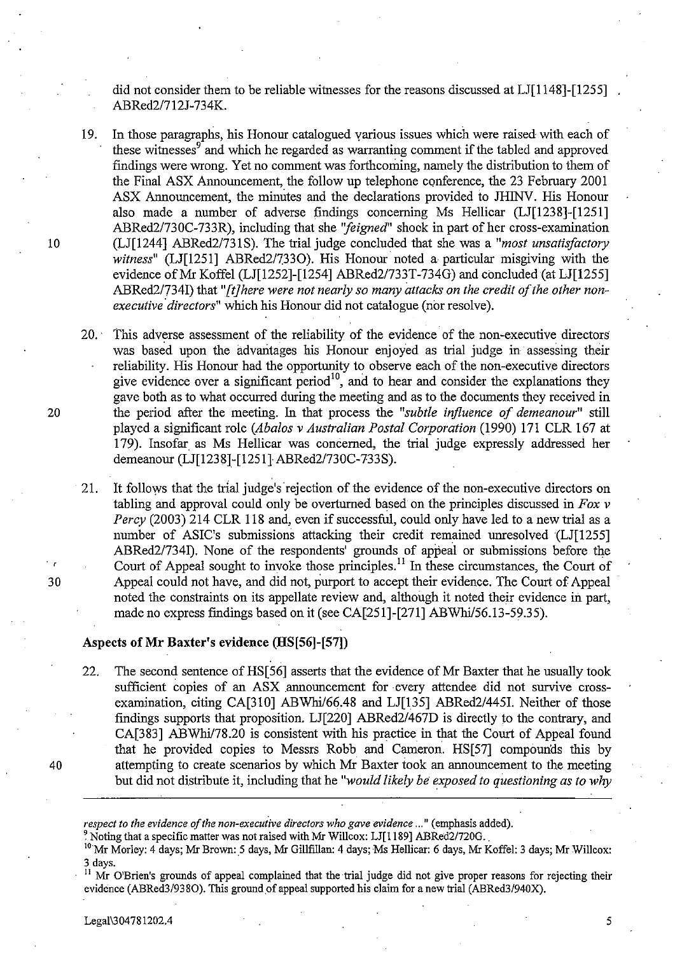did not consider them to be reliable witnesses for the reasons discussed at LJ[1148]-[1255] ABRed2/712J-734K.

19. In those paragraphs, his Honour catalogued various issues which were raised with each of these witnesses<sup>9</sup> and which he regarded as warranting comment if the tabled and approved findings were wrong. Yet no comment was forthcoming, namely the distribution to them of the Final ASX Announcement, the follow up telephone conference, the 23 February 2001 ASX Announcement, the minutes and the declarations provided to JHINV. His Honour also made a number of adverse findings conceming Ms Hellicar (LJ[1238]-[1251] ABRed2/730C-733R), including that she *''feigned''* shock in part of her cross-examination 10 (LJ[1244] ABRed2/731S). The trial judge concluded that she was a *"most unsatisfactory witness*" (LJ[1251] ABRed2/7330). His Honour noted a particular misgiving with the evidence of Mr Koffel (LJ[1252]-[1254] ABRed2/733T-734G) and concluded (at LJ[1255] ABRed2/734I) that *"{tJhere were not nearly so many attacks on the credit of the other nonexecutive directors"* which his Honour did not catalogue (nor resolve).

20.' This adverse assessment of the reliability of the evidence of the non-executive directors was based upon the advantages his Honour enjoyed as trial judge in· assessing their reliability. His Honour had the opportunity to observe each of the non-executive directors give evidence over a significant period<sup>10</sup>, and to hear and consider the explanations they gave both as to what occurred during the meeting and as to the documents they received in 20 the period after the meeting. In that process the *"subtle influence of demeanour"* still played a significant role *(Abalos* v *Australian Postal Corporation* (1990) 17l CLR 167 at 179). Insofar as Ms Hellicar was concerned, the trial judge expressly addressed her demeanour (LJ[1238]-[1251] ABRed2/730C-733S).

21. It follows that the trial judge's rejection of the evidence of the non-executive directors on tabling and approval could only be overtnrned based on the principles discussed in *Fox* v *Percy* (2003) 214 CLR 118 and, even if successful, could only have led to a new trial as a number of ASIC's submissions attacking their credit remained unresolved (LJ[1255] ABRed2/734I). None of the respondents' grounds of appeal or submissions before the Court of Appeal sought to invoke those principles.<sup>11</sup> In these circumstances, the Court of 30 Appeal could not have, and did not, purport to accept their evidence. The Court of Appeal noted the constraints on its appellate review and, although it noted their evidence in part, made no express findings based on it (see CA[251]-[271] ABWhi/56.13-59.35).

# Aspects of Mr Baxter's evidence (HS[S6]-[S7])

22. The second sentence of HS[56] asserts that the evidence of Mr Baxter that he usually took sufficient copies of an ASX announcement for every attendee did not survive crossexamination, citing CA[310] *ABWhi/66.48* and LJ[135] *ABRed2/445I.* Neither of those findings supports that proposition. LJ[220] *ABRed2/467D* is directly to the contrary, and CA[383] ABWhi/78.20 is consistent with his practice in that the Court of Appeal found that he provided copies to Messrs Robb and Cameron. HS[57] compounds this by 40 attempting to create scenarios by which Mr Baxter took an announcement to the meeting but did not distribute it, including that he *"would likely be exposed to questioning as to why* 

*respect to the evidence of the non-executive directors who gave evidence* ... " (emphasis added).

 $^2$  Noting that a specific matter was not raised with Mr Willcox: LJ[1189] ABRed2/720G.

<sup>10</sup> Mr Morley: 4 days; Mr Brown: 5 days, Mr Gillfillan: 4 days; Ms Hellicar: 6 days, Mr Koffel: 3 days; Mr Willcox: 3 days.

Mr O'Brien's grounds of appeal complained that the trial judge did not give proper reasons for rejecting their evidence (ABRed3/938O). This ground of appeal supported his claim for a new trial (ABRed3/940X).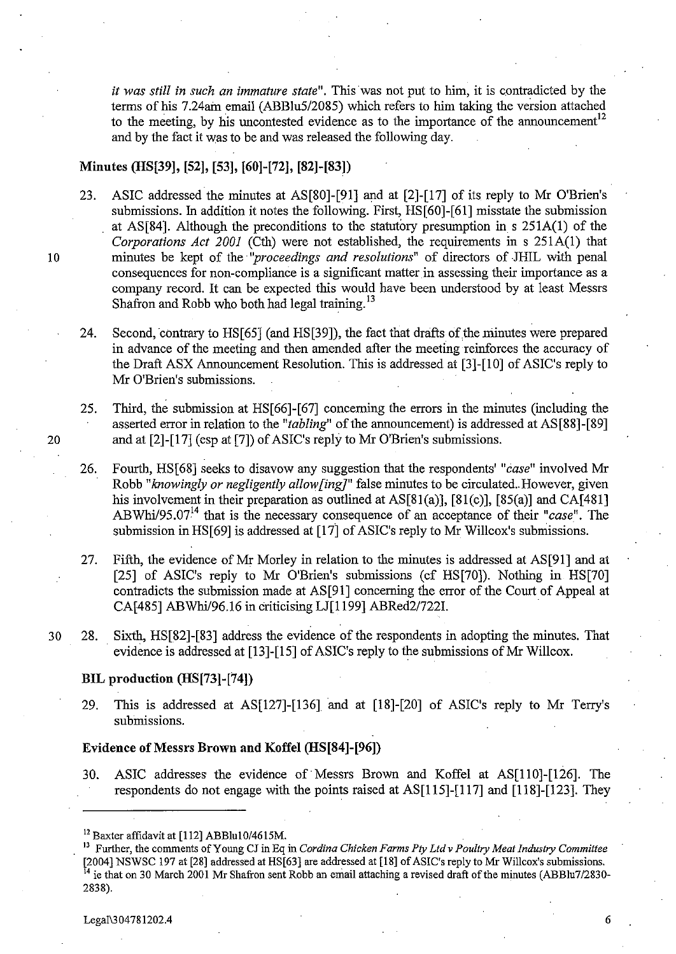it was still in such an immature state". This was not put to him, it is contradicted by the terms of his 7.24am email (ABBlu5/2085) which refers to him taking the version attached to the meeting, by his uncontested evidence as to the importance of the announcement<sup>12</sup> and by the fact it was to be and was released the following day.

#### **Minutes (HS[39], [52], [53], [60]-[72], [82]-[83])**

- 23. ASIC addressed the minutes at AS[80]-[91] and at [2]-[17] of its reply to Mr O'Brien's submissions. In addition it notes the following. First, HS[60]-[6l] misstate the submission at AS[84]. Although the preconditions to the statutory presumption in s 2S1A(I) of the *Corporations Act 2001* (Cth) were not established, the requirements in s 2SlA(1) that 10 minutes be kept of the *''proceedings and resolutions"* of directors of .JHIL with penal consequences for non-compliance is a significant matter in assessing their importance as a company record. It can be expected this would have been understood by at least Messrs Shafron and Robb who both had legal training.<sup>13</sup>
	- 24. Second, contrary to HS[65] (and HS[39]), the fact that drafts of the minutes were prepared in advance of the meeting and then amended after the meeting reinforces the accuracy of the Draft ASX Announcement Resolution. This is addressed at [3]-[10] of ASIC's reply to Mr O'Brien's submissions.
- 2S. Third, the submission at HS[66]-[67] concerning the errors in the minutes (including the asserted error in relation to the *"tabling"* of the announcement) is addressed at AS[88]-[89] 20 and at [2]-[17] (esp at [7]) of ASIC's reply to Mr O'Brien's submissions.
	- 26. Fourth, HS[68] seeks to disavow any suggestion that the respondents' *"case"* involved Mr Robb "knowingly or negligently allow[ing]" false minutes to be circulated. However, given his involvement in their preparation as outlined at  $AS[81(a)]$ ,  $[81(c)]$ ,  $[85(a)]$  and CA $[481]$ ABWhi/95.07<sup>14</sup> that is the necessary consequence of an acceptance of their "case". The submission in HS[69] is addressed at [17] of ASIC's reply to Mr Willcox's submissions.
	- 27. Fifth, the evidence of Mr Morley in relation to the minutes is addressed at AS[91] and at [25] of ASIC's reply to Mr O'Brien's submissions (cf HS[70]). Nothing in HS[70] contradicts the submission made at AS[91] concerning the error of the Court of Appeal at CA[485] ABWhi/96.16 in criticising LJ[1199] ABRed2/722I.
- 30 28. Sixth, HS[82]-[83] address the evidence of the respondents in adopting the minutes. That evidence is addressed at [13]-[15] of ASIC's reply to the submissions of Mr Willcox.

#### **BIL production (HS[73]-[74])**

29. This is addressed at AS[127]-[136] and at [18]-[20] of ASIC's reply to Mr Terry's submissions.

#### **Evidence** of Messrs **Brown and Koffel (HS[84]-[96])**

30. ASIC addresses the evidence of·Messrs Brown and Koffel at AS[1l0]-[126]. The respondents do not engage with the points raised at AS[1IS]-[117] and [118]-[123]. They

<sup>&</sup>lt;sup>12</sup> Baxter affidavit at [112] ABBlu10/4615M.

<sup>13</sup> Further, the comments of Young CJ in Eq in *Cordina Chicken Farms Ply Ltd* v *Poultry Meat Industry Committee*  [2004] NSWSC 197 at [28] addressed at HS[63] are addressed at [18] of ASIC's reply to Mr Willcox's submissions. <sup>14</sup> ie that on 30 March 2001 Mr Shafron sent Robb an email attaching a revised draft of the minutes (ABBlu7/2830-2838).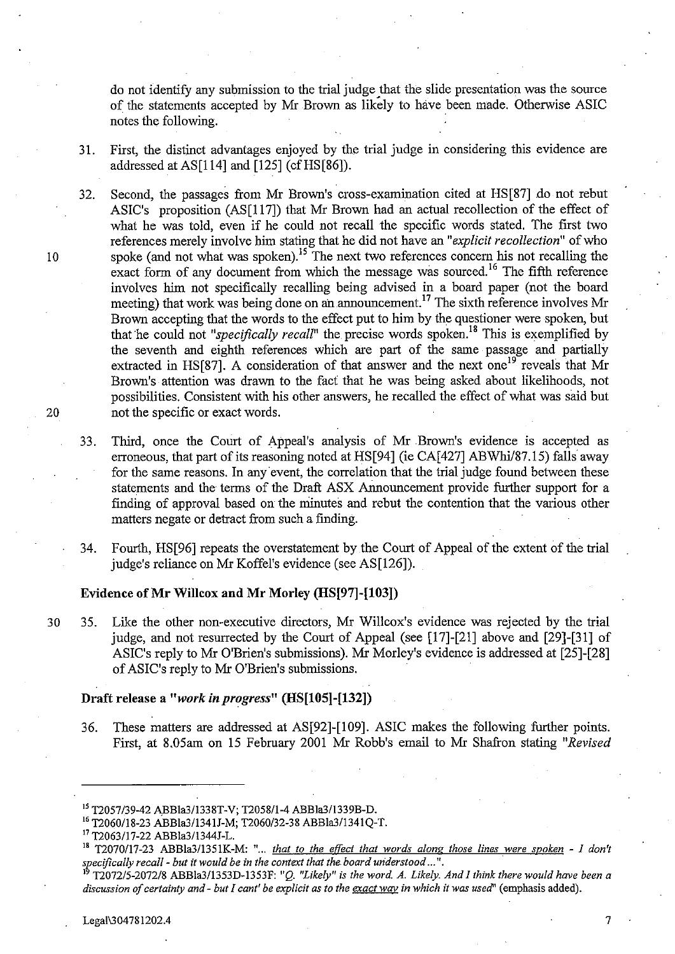do not identify any submission to the trial judge that the slide presentation was the source of the statements accepted by Mr Brown as likely to have been made. Otherwise ASIC notes the following.

31. First, the distinct advantages enjoyed by the trial judge in considering this evidence are addressed at AS $[114]$  and  $[125]$  (cf HS $[86]$ ).

32. Second, the passages from Mr Brown's cross-examination cited at HS[87] do not rebut ASIC's proposition (AS[117]) that Mr Brown had an actual recollection of the effect of what he was told, even if he could not recall the specific words stated. The first two references merely involve him stating that he did not have an *"explicit recollection"* of who 10 spoke (and not what was spoken).<sup>15</sup> The next two references concern his not recalling the  $\alpha$  exact form of any document from which the message was sourced.<sup>16</sup> The fifth reference involves him not specifically recalling being advised in a board paper (not the board meeting) that work was being done on an announcement.<sup>17</sup> The sixth reference involves Mr Brown accepting that the words to the effect put to him by the questioner were spoken, but that he could not *"specifically recall*" the precise words spoken.<sup>18</sup> This is exemplified by the seventh and eighth references which are part of the same passage and partially extracted in HS[87]. A consideration of that answer and the next one<sup>19</sup> reveals that Mr Brown's attention was drawn to the fact that he was being asked about likelihoods, not possibilities. Consistent with his other answers, he recalled the effect of what was said but 20 not the specific or exact words.

33. Third, once the Court of Appeal's analysis of Mr Brown's evidence is accepted as erroneous, that part of its reasoning noted at HS[94] (ie CA[427] ABWhi/87.1S) falls away for the same reasons. In any event, the correlation that the trial judge found between these statements and the terms of the Draft ASX Almouncement provide further support for a finding of approval based on the minutes and rebut the contention that the various other matters negate or detract from such a finding.

34. Fourth, HS[96] repeats the overstatement by.the Court of Appeal of the extent of the trial judge's reliance on Mr Koffel's evidence (see AS[126]).

#### Evidence of Mr Willcox and Mr Morley (HS[97]-[103])

30 3S. Like the other non-executive directors, Mr Willcox's evidence was rejected by the trial judge, and not resurrected by the Court of Appeal (see [17]-[21] above and [29]-[31] of ASIC's reply to Mr O'Brien's submissions). Mr Morley's evidence is addressed at [2S]-[28] of ASIC's reply to Mr O'Brien's submissions.

#### Draft release a *"work in progress"* (HS[lOS]-[132])

36. These matters are addressed at AS[92]-[109]. ASIC makes the following further points. First, at 8.0Sam on IS February 2001 Mr Robb's email to Mr Shafron stating *"Revised* 

<sup>&</sup>lt;sup>15</sup> T2057/39-42 ABBla3/1338T-V; T2058/1-4 ABBla3/1339B-D.

<sup>16</sup> 12060118-23 ABBla31134U-M; 12060/32-38 ABBla3/1341Q-T.

<sup>&</sup>lt;sup>17</sup> T2063/17-22 ABBla3/1344J-L.

<sup>&</sup>lt;sup>18</sup> T2070/17-23 ABBla3/1351K-M: "... *that to the effect that words along those lines were spoken - I don't* specifically recall - *but it would be in the context that the board understood* ...".

<sup>1912072/5-2072/8</sup> ABBla3/1353D-1353F: "Q. *"Likely" is the word. A. Likely. And I think there would have been a discussion of certainty and* - *but I cant' be explicit as to the exact way in which it was used'* (emphasis added).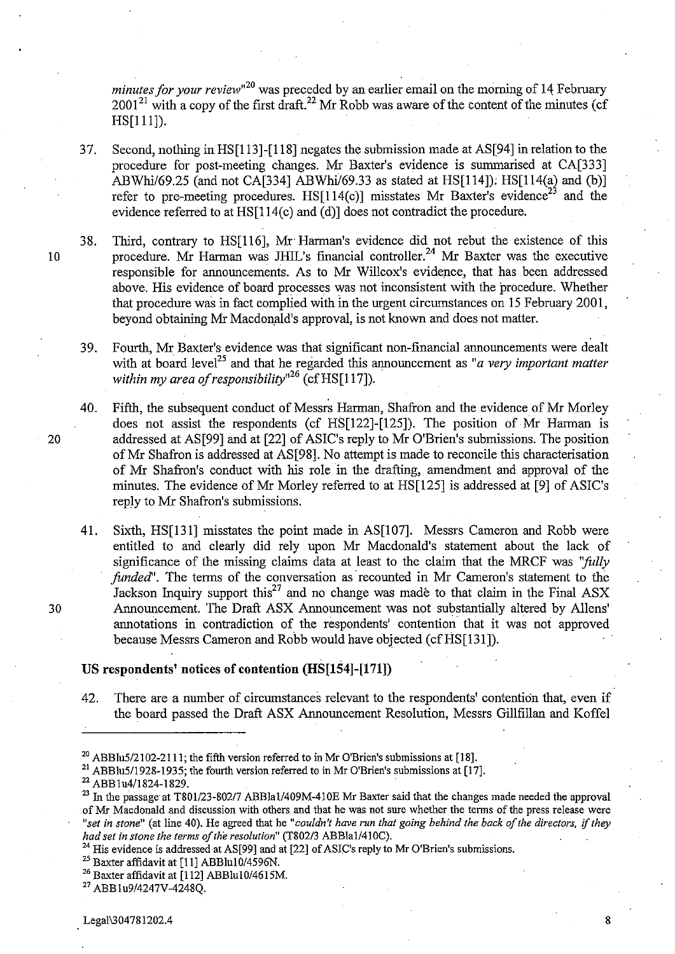*minutes for your review*<sup>120</sup> was preceded by an earlier email on the morning of 14 February  $2001^{21}$  with a copy of the first draft.<sup>22</sup> Mr Robb was aware of the content of the minutes (cf HS[111]).

37. Second, nothing in HS[113]-[118] negates the submission made at AS[94] in relation to the procedure for post-meeting changes. Mr Baxter's evidence is summarised at CA[333] *ABWhi/69.25 (and not CA[334] ABWhi/69.33 as stated at HS[114]); HS[114(a) and (b)]* refer to pre-meeting procedures. HS[114(c)] misstates Mr Baxter's evidence<sup>23</sup> and the evidence referred to at HS[1l4(c) and (d)] does not contradict the procedure.

38. Third, contrary to HS[l16], Mr Harman's evidence did not rebut the existence of this 10 procedure. Mr Harman was JHIL's financial controller.<sup>24</sup> Mr Baxter was the executive responsible for announcements. As to Mr Willcox's evidence, that has been addressed above. His evidence of board processes was not inconsistent with the procedure. Whether that procedure was in fact complied with In the urgent circumstances on 15 February 2001, beyond obtaining Mr Macdonald's approval, is not known and does not matter.

39. Fourth, Mr Baxter's evidence was that significant non-financial announcements were dealt with at board level<sup>23</sup> and that he regarded this announcement as "*a very important matter within my area 0/ responsibility,,26* (cfHS[1l7]).

40. Fifth, the subsequent conduct of Messrs Harman, Shafron and the evidence of Mr Motley does not assist the respondents (cf HS[122]-[125]). The position of Mr Harman is 20 addressed at AS[99] and at [22] of ASIC's reply to Mr O'Brien's submissions. The position of Mr Shafron is addressed at AS[98]. No attempt is made to reconcile this characterisation of Mr Shafron's conduct with his role in the drafting, amendment and approval of the minutes. The evidence of Mr Morley referred to at HS[125] is addressed at [9] of ASIC's reply to Mr Shafron's submissions.

41. Sixth, HS[131] misstates the point made in AS[107]. Messrs Cameron and Robb were entitled to and clearly did rely upon Mr Macdonald's statement about the lack of significance of the missing claims data at least to the claim that the MRCF was *''folly funded*". The terms of the conversation as recounted in Mr Cameron's statement to the Jackson Inquiry support this<sup>27</sup> and no change was made to that claim in the Final ASX 30 Announcement. The Draft ASX Announcement was not substantially altered by Allens' annotations in contradiction of the respondents' contention that it was not approved because Messrs Cameron and Robb would have objected (cf HS[131]).

## **US respondents' notices of contention (HS[lS4]-[171])**

42. There are a number of circumstances relevant to the respondents' contention that, even if the board passed the Draft ASX Announcement Resolution, Messrs Gillfillan and Koffel

<sup>21</sup> ABBlu5/1928-1935; the fourth version referred to in Mr O'Brien's submissions at [17].

22 ABB lu411824-1 829.

<sup>25</sup> Baxter affidavit at [11] ABBlu10/4596N.

<sup>&</sup>lt;sup>20</sup> ABBlu5/2102-2111; the fifth version referred to in Mr O'Brien's submissions at [18].

<sup>&</sup>lt;sup>23</sup> In the passage at *T801/23-802/7* ABBla1/409M-410E Mr Baxter said that the changes made needed the approval of Mr Macdonald and discussion with others and that he was not sure whether the terms of the press release were *"set in stone"* (at line 40). He agreed that he *"couldn't have run that going behind the back of the directors,* if *they had set in stone the terms of the resolution" (T802/3* ABBlaI/410C).

<sup>&</sup>lt;sup>24</sup> His evidence is addressed at AS[99] and at  $[22]$  of ASIC's reply to Mr O'Brien's submissions.

 $26$  Baxter affidavit at  $[112]$  ABBlu10/4615M.

<sup>27</sup> ABBlu9/4247V-4248Q.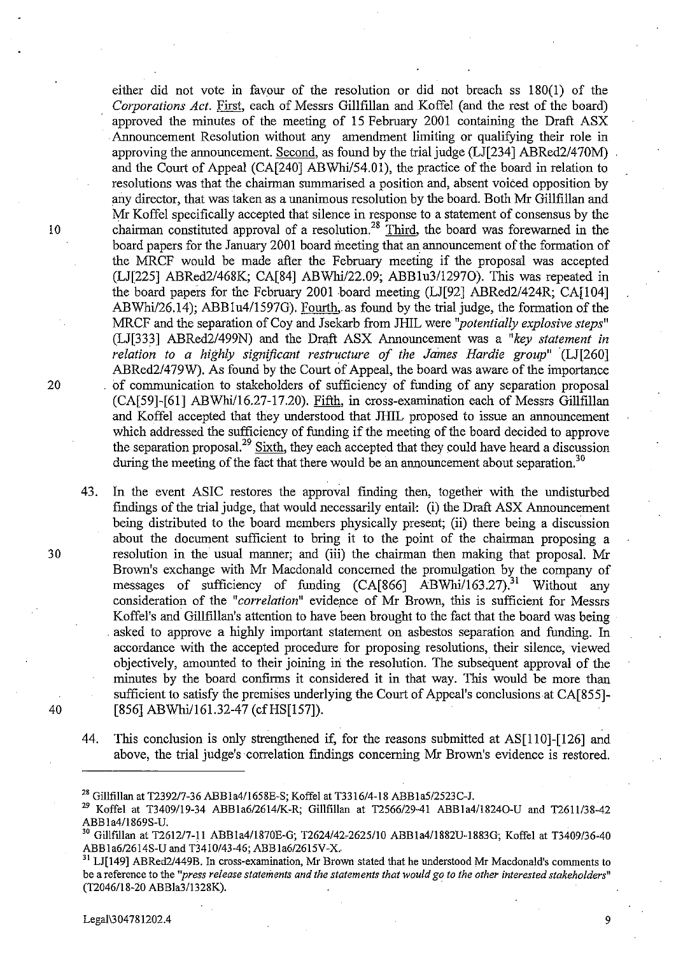either did not vote in favour of the resolution or did not breach ss 180(1) of the *Corporations Act.* First, each of Messrs Gillfillan and Koffel (and the rest of the board) approved the minutes of the meeting of 15 February 2001 containing the Draft ASX . Announcement Resolution without any amendment limiting or qualifying their role in approving the announcement. Second, as found by the trial judge (LJ[234] ABRed2/470M) and the Court of Appeal (CA[240] ABWhi/54.01), the practice of the board in relation to resolutions was that the chairman summarised a position and, absent voiced opposition by any director, that was taken as a unanimous resolution by the board. Both Mr Gillfillan and Mr Koffel specifically accepted that silence in response to a statement of consensus by the 10 chairman constituted approval of a resolution.<sup>28</sup> Third, the board was forewarned in the board papers for the January 2001 board meeting that an announcement of the formation of the MRCF would be made after the February meeting if the proposal was accepted (LJ[225] *ABRed2/468K;* CA[84] ABWhil22.09; *ABBlu3/12970).* This was repeated in the board papers for the February 2001 board meeting (LJ[92] *ABRed2/424R;* CA[104] ABWhi/26.14); ABB1u4/1597G). Fourth, as found by the trial judge, the formation of the MRCF and the separation of Coy and J sekarb from JHIL were *"potentially explosive steps"* (LJ[333] *ABRed2/499N)* and the Draft ASX Announcement was a *"key statement in relation to a highly significant restructure of the James Hardie group"* (LJ[260] ABRed2/479W). As found by the Court of Appeal, the board was aware of the importance 20 . of communication to stakeholders of sufficiency of funding of any separation proposal (CA[59]-[61] ABWhi/16.27-17.20). Fifth, in cross-examination each of Messrs Gillfillan and Koffel accepted that they understood that JHIL proposed to issue an announcement which addressed the sufficiency of funding if the meeting of the board decided to approve the separation proposal.<sup>29</sup> Sixth, they each accepted that they could have heard a discussion during the meeting of the fact that there would be an announcement about separation.<sup>30</sup>

43. In the event ASIC restores the approval finding then, together with the undisturbed findings of the trial judge, that would necessarily entail·: (i) the Draft ASX Announcement being distributed to the board members physically present; (ii) there being a discussion about the document sufficient to bring it to the point of the chairman proposing a 30 resolution in the usual manner; and (iii) the chairman then making that proposal. Mr Brown's exchange with Mr Macdonald concerned the promulgation by the company of messages of sufficiency of funding (CA[866] ABWhi/163.27).<sup>31</sup> Without any consideration of the "*correlation*" evidence of Mr Brown, this is sufficient for Messrs Koffel's and Gillfillan's attention to have been brought to the fact that the board was being asked to approve a highly important statement on asbestos separation and funding. In accordance with the accepted procedure for proposing resolutions, their silence, viewed objectively, amounted to their joining iri the resolution. The subsequent approval of the minutes by the board confirms it considered it in that way. This would be more than sufficient to satisfy the premises underlying the Court of Appeal's conclusions at CA[855]- 40 [856] ABWhi/161.32-47 (cf HS[157]).

44. This conclusion is only strengthened if, for the reasons submitted at AS[1l0]-[126] and above, the trial judge's correlation fmdings concerning Mr Brown's evidence is restored.

<sup>28</sup> Gillfillan at T2392/7-36 ABBla41l658E-S; Koffel at T3316/4-18 ABBla5/2523C-I.

<sup>&</sup>lt;sup>29</sup> Koffel at T3409/19-34 ABB1a6/2614/K-R; Gillfillan at T2566/29-41 ABB1a4/1824O-U and T2611/38-42 ABBla41l869S-U.

<sup>30</sup> Gillftllan at T2612/7-11 ABBla41l870E-G; T2624/42\_2625/10 ABBla4/1882U-1883G; Koffel at T3409/36-40 ABBla6/2614S-U and T3410/43-46; ABBla6/261SV-X.

<sup>&</sup>lt;sup>31</sup> LJ[149] ABRed2/449B. In cross-examination, Mr Brown stated that he understood Mr Macdonald's comments to **be a reference to the** *"press release statements and the statements that would go to the other interested stakeholders"*  (T2046/18-20 ABBla3/1328K).